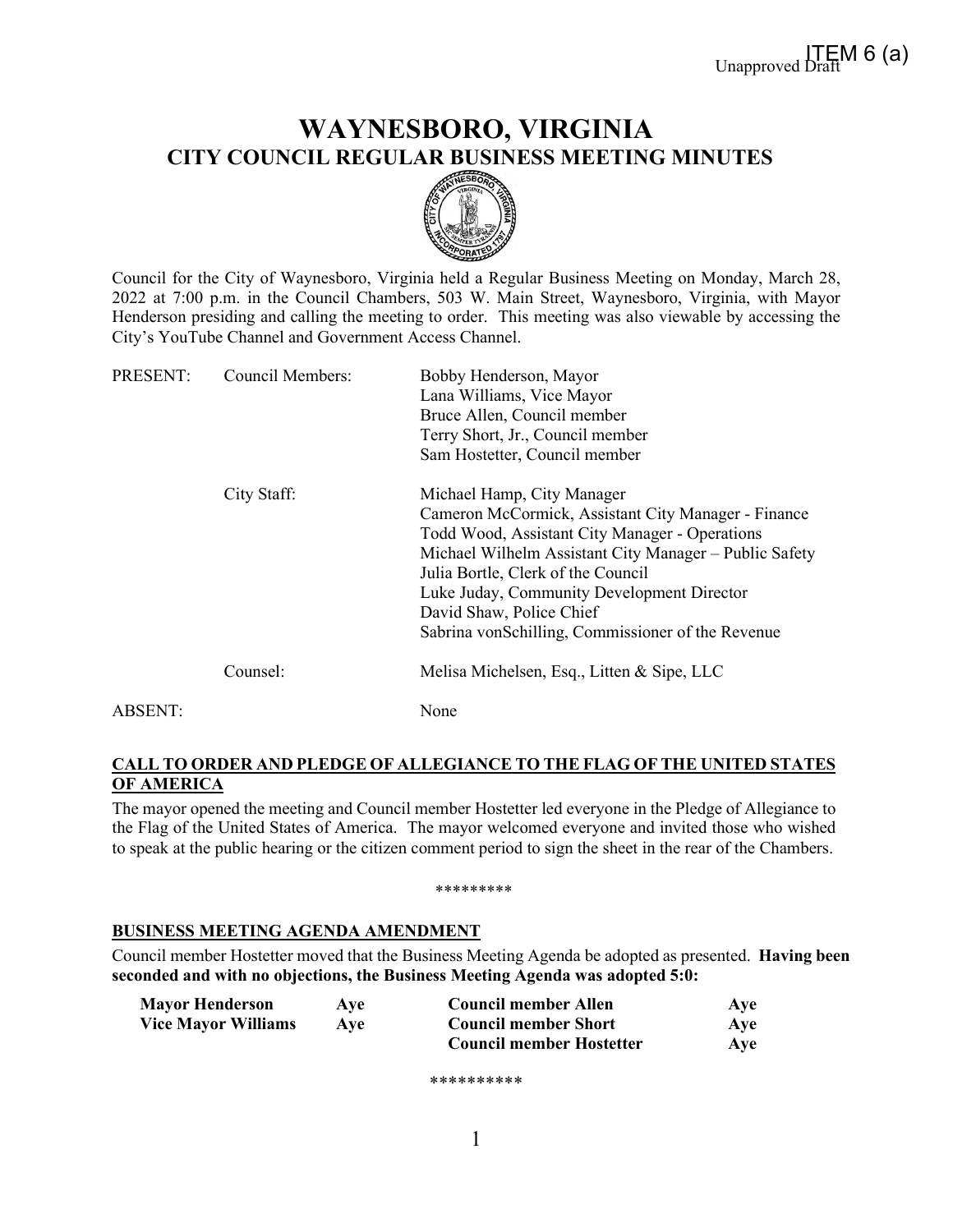# **WAYNESBORO, VIRGINIA CITY COUNCIL REGULAR BUSINESS MEETING MINUTES**



Council for the City of Waynesboro, Virginia held a Regular Business Meeting on Monday, March 28, 2022 at 7:00 p.m. in the Council Chambers, 503 W. Main Street, Waynesboro, Virginia, with Mayor Henderson presiding and calling the meeting to order. This meeting was also viewable by accessing the City's YouTube Channel and Government Access Channel.

| PRESENT: | <b>Council Members:</b> | Bobby Henderson, Mayor<br>Lana Williams, Vice Mayor<br>Bruce Allen, Council member<br>Terry Short, Jr., Council member<br>Sam Hostetter, Council member                                                                                                                                                                                                            |
|----------|-------------------------|--------------------------------------------------------------------------------------------------------------------------------------------------------------------------------------------------------------------------------------------------------------------------------------------------------------------------------------------------------------------|
|          | City Staff:             | Michael Hamp, City Manager<br>Cameron McCormick, Assistant City Manager - Finance<br>Todd Wood, Assistant City Manager - Operations<br>Michael Wilhelm Assistant City Manager – Public Safety<br>Julia Bortle, Clerk of the Council<br>Luke Juday, Community Development Director<br>David Shaw, Police Chief<br>Sabrina vonSchilling, Commissioner of the Revenue |
|          | Counsel:                | Melisa Michelsen, Esq., Litten & Sipe, LLC                                                                                                                                                                                                                                                                                                                         |
| ABSENT:  |                         | None                                                                                                                                                                                                                                                                                                                                                               |

# **CALL TO ORDER AND PLEDGE OF ALLEGIANCE TO THE FLAG OF THE UNITED STATES OF AMERICA**

The mayor opened the meeting and Council member Hostetter led everyone in the Pledge of Allegiance to the Flag of the United States of America. The mayor welcomed everyone and invited those who wished to speak at the public hearing or the citizen comment period to sign the sheet in the rear of the Chambers.

#### \*\*\*\*\*\*\*\*\*

### **BUSINESS MEETING AGENDA AMENDMENT**

Council member Hostetter moved that the Business Meeting Agenda be adopted as presented. **Having been seconded and with no objections, the Business Meeting Agenda was adopted 5:0:**

| <b>Mayor Henderson</b>     | Ave | <b>Council member Allen</b>     | Aye |
|----------------------------|-----|---------------------------------|-----|
| <b>Vice Mayor Williams</b> | Ave | <b>Council member Short</b>     | Ave |
|                            |     | <b>Council member Hostetter</b> | Ave |

\*\*\*\*\*\*\*\*\*\*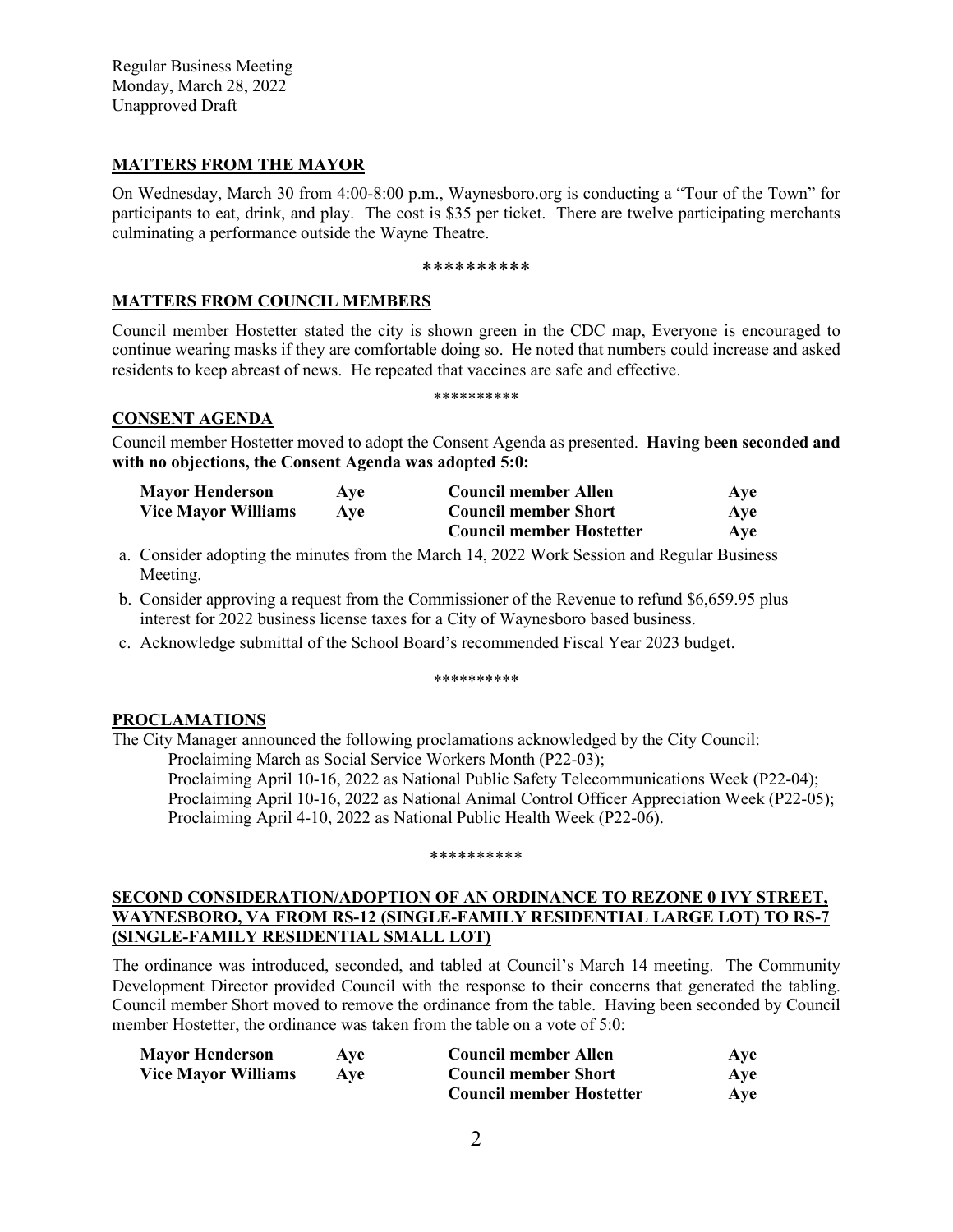Regular Business Meeting Monday, March 28, 2022 Unapproved Draft

### **MATTERS FROM THE MAYOR**

On Wednesday, March 30 from 4:00-8:00 p.m., Waynesboro.org is conducting a "Tour of the Town" for participants to eat, drink, and play. The cost is \$35 per ticket. There are twelve participating merchants culminating a performance outside the Wayne Theatre.

#### \*\*\*\*\*\*\*\*\*\*

### **MATTERS FROM COUNCIL MEMBERS**

Council member Hostetter stated the city is shown green in the CDC map, Everyone is encouraged to continue wearing masks if they are comfortable doing so. He noted that numbers could increase and asked residents to keep abreast of news. He repeated that vaccines are safe and effective.

\*\*\*\*\*\*\*\*\*\*

### **CONSENT AGENDA**

Council member Hostetter moved to adopt the Consent Agenda as presented. **Having been seconded and with no objections, the Consent Agenda was adopted 5:0:**

| <b>Mayor Henderson</b>     | Ave | <b>Council member Allen</b>     | Ave |
|----------------------------|-----|---------------------------------|-----|
| <b>Vice Mayor Williams</b> | Ave | <b>Council member Short</b>     | Ave |
|                            |     | <b>Council member Hostetter</b> | Ave |

- a. Consider adopting the minutes from the March 14, 2022 Work Session and Regular Business Meeting.
- b. Consider approving a request from the Commissioner of the Revenue to refund \$6,659.95 plus interest for 2022 business license taxes for a City of Waynesboro based business.
- c. Acknowledge submittal of the School Board's recommended Fiscal Year 2023 budget.

#### \*\*\*\*\*\*\*\*\*\*

### **PROCLAMATIONS**

The City Manager announced the following proclamations acknowledged by the City Council:

Proclaiming March as Social Service Workers Month (P22-03); Proclaiming April 10-16, 2022 as National Public Safety Telecommunications Week (P22-04);

Proclaiming April 10-16, 2022 as National Animal Control Officer Appreciation Week (P22-05); Proclaiming April 4-10, 2022 as National Public Health Week (P22-06).

#### \*\*\*\*\*\*\*\*\*\*

### **SECOND CONSIDERATION/ADOPTION OF AN ORDINANCE TO REZONE 0 IVY STREET, WAYNESBORO, VA FROM RS-12 (SINGLE-FAMILY RESIDENTIAL LARGE LOT) TO RS-7 (SINGLE-FAMILY RESIDENTIAL SMALL LOT)**

The ordinance was introduced, seconded, and tabled at Council's March 14 meeting. The Community Development Director provided Council with the response to their concerns that generated the tabling. Council member Short moved to remove the ordinance from the table. Having been seconded by Council member Hostetter, the ordinance was taken from the table on a vote of 5:0:

| <b>Mayor Henderson</b>     | Ave | <b>Council member Allen</b>     | Aye |
|----------------------------|-----|---------------------------------|-----|
| <b>Vice Mayor Williams</b> | Ave | <b>Council member Short</b>     | Aye |
|                            |     | <b>Council member Hostetter</b> | Aye |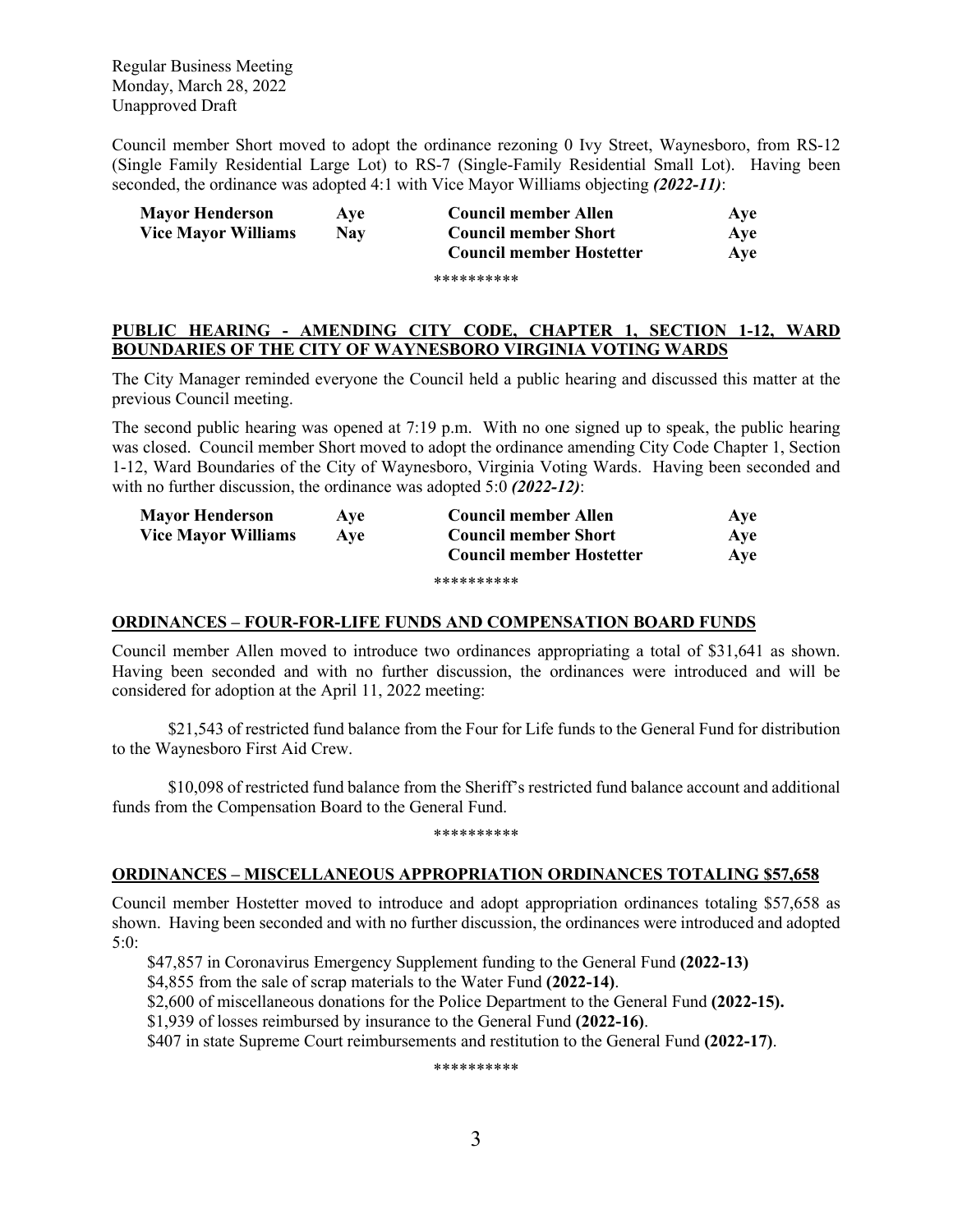Regular Business Meeting Monday, March 28, 2022 Unapproved Draft

Council member Short moved to adopt the ordinance rezoning 0 Ivy Street, Waynesboro, from RS-12 (Single Family Residential Large Lot) to RS-7 (Single-Family Residential Small Lot). Having been seconded, the ordinance was adopted 4:1 with Vice Mayor Williams objecting *(2022-11)*:

| <b>Mayor Henderson</b>     | Ave        | Council member Allen            | Ave |
|----------------------------|------------|---------------------------------|-----|
| <b>Vice Mayor Williams</b> | <b>Nav</b> | <b>Council member Short</b>     | Ave |
|                            |            | <b>Council member Hostetter</b> | Ave |
|                            |            | **********                      |     |

### **PUBLIC HEARING - AMENDING CITY CODE, CHAPTER 1, SECTION 1-12, WARD BOUNDARIES OF THE CITY OF WAYNESBORO VIRGINIA VOTING WARDS**

The City Manager reminded everyone the Council held a public hearing and discussed this matter at the previous Council meeting.

The second public hearing was opened at 7:19 p.m. With no one signed up to speak, the public hearing was closed. Council member Short moved to adopt the ordinance amending City Code Chapter 1, Section 1-12, Ward Boundaries of the City of Waynesboro, Virginia Voting Wards. Having been seconded and with no further discussion, the ordinance was adopted 5:0 *(2022-12)*:

| <b>Mayor Henderson</b>     | <b>Ave</b> | <b>Council member Allen</b>     | Ave |
|----------------------------|------------|---------------------------------|-----|
| <b>Vice Mayor Williams</b> | Ave        | <b>Council member Short</b>     | Ave |
|                            |            | <b>Council member Hostetter</b> | Ave |
|                            |            | **********                      |     |

#### **ORDINANCES – FOUR-FOR-LIFE FUNDS AND COMPENSATION BOARD FUNDS**

Council member Allen moved to introduce two ordinances appropriating a total of \$31,641 as shown. Having been seconded and with no further discussion, the ordinances were introduced and will be considered for adoption at the April 11, 2022 meeting:

\$21,543 of restricted fund balance from the Four for Life funds to the General Fund for distribution to the Waynesboro First Aid Crew.

\$10,098 of restricted fund balance from the Sheriff's restricted fund balance account and additional funds from the Compensation Board to the General Fund.

#### \*\*\*\*\*\*\*\*\*\*

### **ORDINANCES – MISCELLANEOUS APPROPRIATION ORDINANCES TOTALING \$57,658**

Council member Hostetter moved to introduce and adopt appropriation ordinances totaling \$57,658 as shown. Having been seconded and with no further discussion, the ordinances were introduced and adopted 5:0:

\$47,857 in Coronavirus Emergency Supplement funding to the General Fund **(2022-13)**

\$4,855 from the sale of scrap materials to the Water Fund **(2022-14)**.

\$2,600 of miscellaneous donations for the Police Department to the General Fund **(2022-15).**

\$1,939 of losses reimbursed by insurance to the General Fund **(2022-16)**.

\$407 in state Supreme Court reimbursements and restitution to the General Fund **(2022-17)**.

\*\*\*\*\*\*\*\*\*\*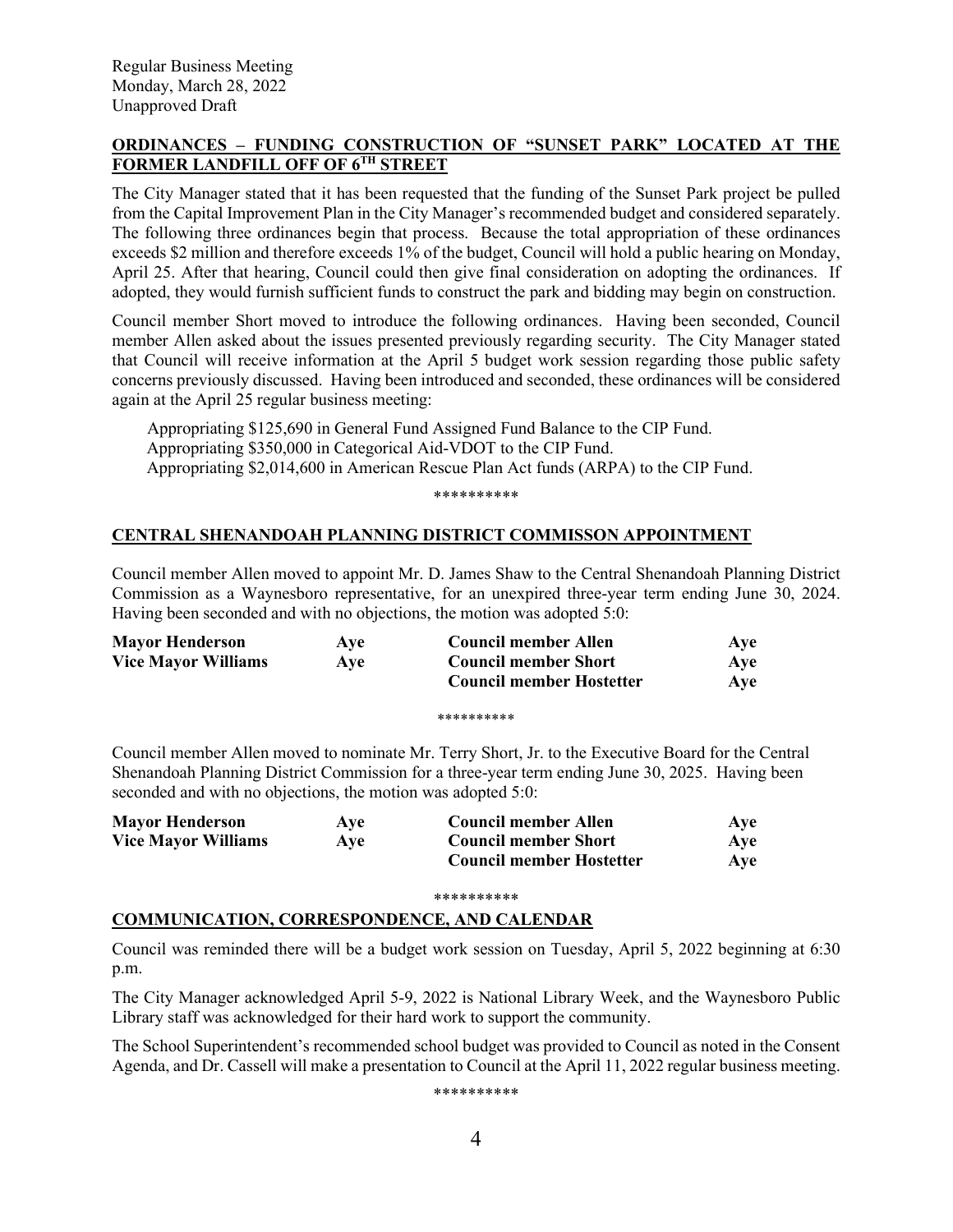# **ORDINANCES – FUNDING CONSTRUCTION OF "SUNSET PARK" LOCATED AT THE FORMER LANDFILL OFF OF 6TH STREET**

The City Manager stated that it has been requested that the funding of the Sunset Park project be pulled from the Capital Improvement Plan in the City Manager's recommended budget and considered separately. The following three ordinances begin that process. Because the total appropriation of these ordinances exceeds \$2 million and therefore exceeds 1% of the budget, Council will hold a public hearing on Monday, April 25. After that hearing, Council could then give final consideration on adopting the ordinances. If adopted, they would furnish sufficient funds to construct the park and bidding may begin on construction.

Council member Short moved to introduce the following ordinances. Having been seconded, Council member Allen asked about the issues presented previously regarding security. The City Manager stated that Council will receive information at the April 5 budget work session regarding those public safety concerns previously discussed. Having been introduced and seconded, these ordinances will be considered again at the April 25 regular business meeting:

Appropriating \$125,690 in General Fund Assigned Fund Balance to the CIP Fund. Appropriating \$350,000 in Categorical Aid-VDOT to the CIP Fund. Appropriating \$2,014,600 in American Rescue Plan Act funds (ARPA) to the CIP Fund.

\*\*\*\*\*\*\*\*\*\*

# **CENTRAL SHENANDOAH PLANNING DISTRICT COMMISSON APPOINTMENT**

Council member Allen moved to appoint Mr. D. James Shaw to the Central Shenandoah Planning District Commission as a Waynesboro representative, for an unexpired three-year term ending June 30, 2024. Having been seconded and with no objections, the motion was adopted 5:0:

| <b>Mayor Henderson</b>     | Ave | <b>Council member Allen</b>     | Aye |
|----------------------------|-----|---------------------------------|-----|
| <b>Vice Mayor Williams</b> | Ave | <b>Council member Short</b>     | Aye |
|                            |     | <b>Council member Hostetter</b> | Ave |
|                            |     |                                 |     |

\*\*\*\*\*\*\*\*\*\*

Council member Allen moved to nominate Mr. Terry Short, Jr. to the Executive Board for the Central Shenandoah Planning District Commission for a three-year term ending June 30, 2025. Having been seconded and with no objections, the motion was adopted 5:0:

| <b>Mayor Henderson</b>     | Ave | <b>Council member Allen</b>     | Ave |
|----------------------------|-----|---------------------------------|-----|
| <b>Vice Mayor Williams</b> | Ave | <b>Council member Short</b>     | Ave |
|                            |     | <b>Council member Hostetter</b> | Aye |

#### \*\*\*\*\*\*\*\*\*\*

### **COMMUNICATION, CORRESPONDENCE, AND CALENDAR**

Council was reminded there will be a budget work session on Tuesday, April 5, 2022 beginning at 6:30 p.m.

The City Manager acknowledged April 5-9, 2022 is National Library Week, and the Waynesboro Public Library staff was acknowledged for their hard work to support the community.

The School Superintendent's recommended school budget was provided to Council as noted in the Consent Agenda, and Dr. Cassell will make a presentation to Council at the April 11, 2022 regular business meeting.

\*\*\*\*\*\*\*\*\*\*